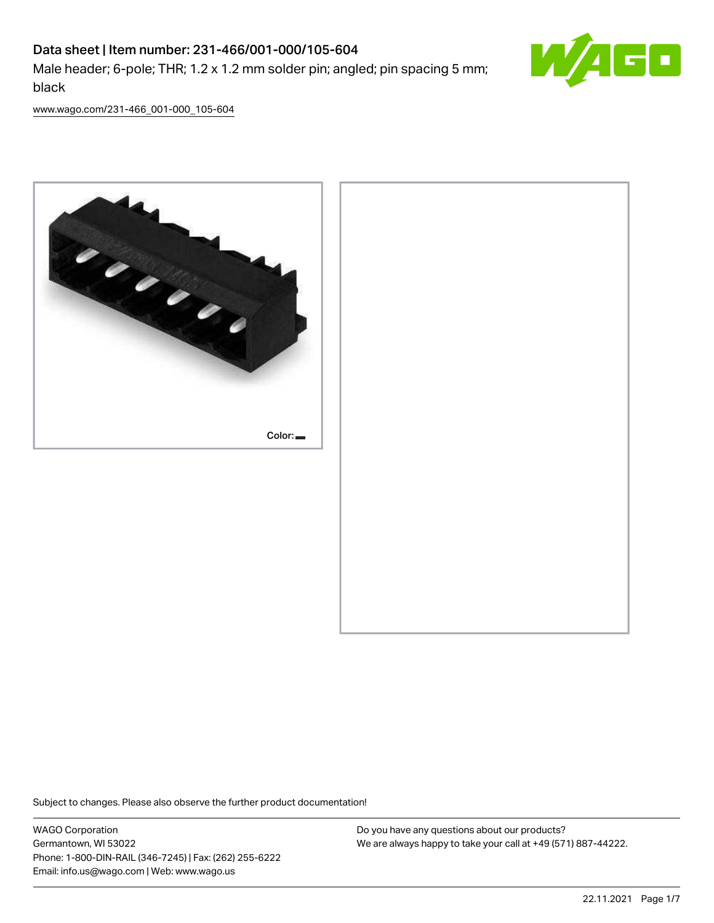# Data sheet | Item number: 231-466/001-000/105-604 Male header; 6-pole; THR; 1.2 x 1.2 mm solder pin; angled; pin spacing 5 mm; black



[www.wago.com/231-466\\_001-000\\_105-604](http://www.wago.com/231-466_001-000_105-604)



Subject to changes. Please also observe the further product documentation!

WAGO Corporation Germantown, WI 53022 Phone: 1-800-DIN-RAIL (346-7245) | Fax: (262) 255-6222 Email: info.us@wago.com | Web: www.wago.us

Do you have any questions about our products? We are always happy to take your call at +49 (571) 887-44222.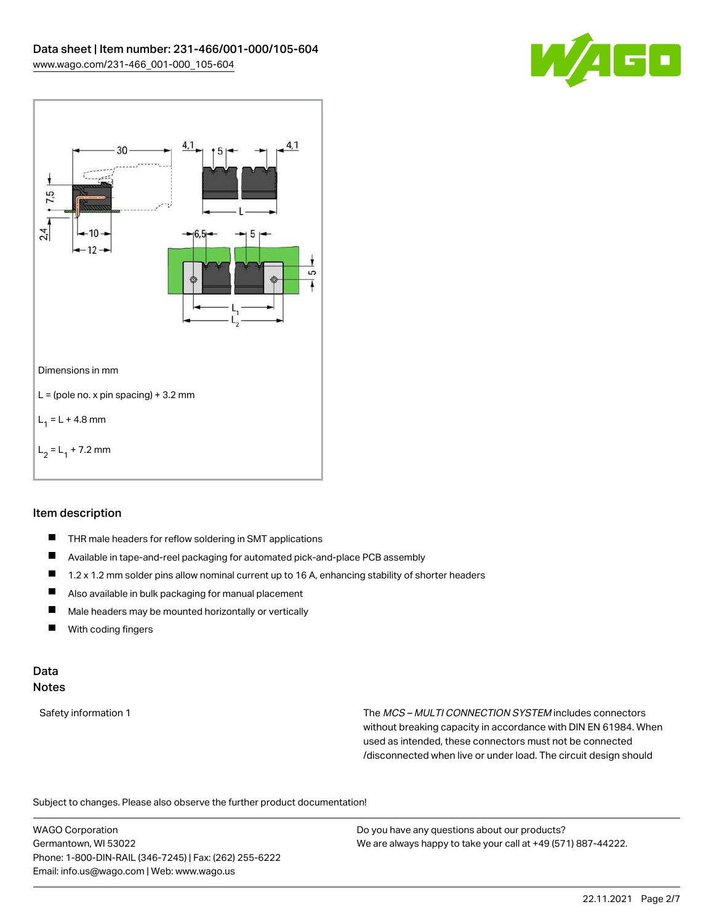



### Item description

- $\blacksquare$ THR male headers for reflow soldering in SMT applications
- $\blacksquare$ Available in tape-and-reel packaging for automated pick-and-place PCB assembly
- П 1.2 x 1.2 mm solder pins allow nominal current up to 16 A, enhancing stability of shorter headers
- П Also available in bulk packaging for manual placement
- $\blacksquare$ Male headers may be mounted horizontally or vertically
- $\blacksquare$ With coding fingers

#### Data Notes

Safety information 1 The MCS – MULTI CONNECTION SYSTEM includes connectors without breaking capacity in accordance with DIN EN 61984. When used as intended, these connectors must not be connected /disconnected when live or under load. The circuit design should

Subject to changes. Please also observe the further product documentation!  $\mathbf{e}$ 

WAGO Corporation Germantown, WI 53022 Phone: 1-800-DIN-RAIL (346-7245) | Fax: (262) 255-6222 Email: info.us@wago.com | Web: www.wago.us

Do you have any questions about our products? We are always happy to take your call at +49 (571) 887-44222.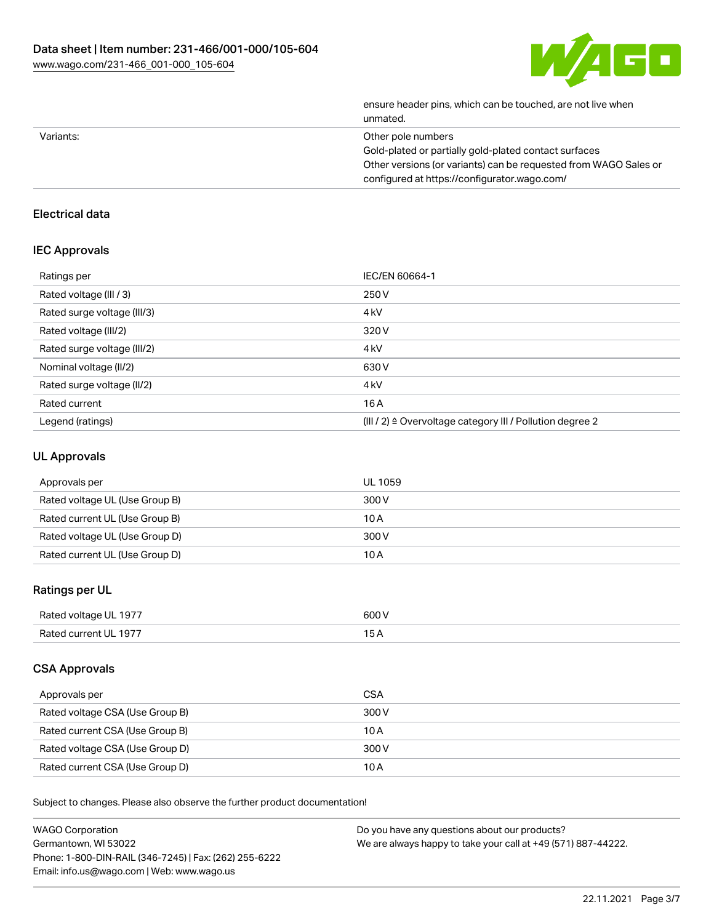

|           | ensure header pins, which can be touched, are not live when<br>unmated. |
|-----------|-------------------------------------------------------------------------|
| Variants: | Other pole numbers                                                      |
|           | Gold-plated or partially gold-plated contact surfaces                   |
|           | Other versions (or variants) can be requested from WAGO Sales or        |
|           | configured at https://configurator.wago.com/                            |
|           |                                                                         |

# Electrical data

#### IEC Approvals

| Ratings per                 | IEC/EN 60664-1                                                        |
|-----------------------------|-----------------------------------------------------------------------|
| Rated voltage (III / 3)     | 250 V                                                                 |
| Rated surge voltage (III/3) | 4 <sub>kV</sub>                                                       |
| Rated voltage (III/2)       | 320 V                                                                 |
| Rated surge voltage (III/2) | 4 <sub>k</sub> V                                                      |
| Nominal voltage (II/2)      | 630 V                                                                 |
| Rated surge voltage (II/2)  | 4 <sub>k</sub> V                                                      |
| Rated current               | 16A                                                                   |
| Legend (ratings)            | $(III / 2)$ $\triangle$ Overvoltage category III / Pollution degree 2 |

# UL Approvals

| Approvals per                  | UL 1059 |
|--------------------------------|---------|
| Rated voltage UL (Use Group B) | 300 V   |
| Rated current UL (Use Group B) | 10 A    |
| Rated voltage UL (Use Group D) | 300 V   |
| Rated current UL (Use Group D) | 10 A    |

## Ratings per UL

| Rated voltage UL 1977                    | ו חה: |
|------------------------------------------|-------|
|                                          | .     |
| Rateo<br>III 197<br>$\sim$ $\sim$ $\sim$ | ◢     |

### CSA Approvals

| Approvals per                   | CSA   |
|---------------------------------|-------|
| Rated voltage CSA (Use Group B) | 300 V |
| Rated current CSA (Use Group B) | 10 A  |
| Rated voltage CSA (Use Group D) | 300 V |
| Rated current CSA (Use Group D) | 10 A  |

Subject to changes. Please also observe the further product documentation!

| <b>WAGO Corporation</b>                                | Do you have any questions about our products?                 |
|--------------------------------------------------------|---------------------------------------------------------------|
| Germantown, WI 53022                                   | We are always happy to take your call at +49 (571) 887-44222. |
| Phone: 1-800-DIN-RAIL (346-7245)   Fax: (262) 255-6222 |                                                               |
| Email: info.us@wago.com   Web: www.wago.us             |                                                               |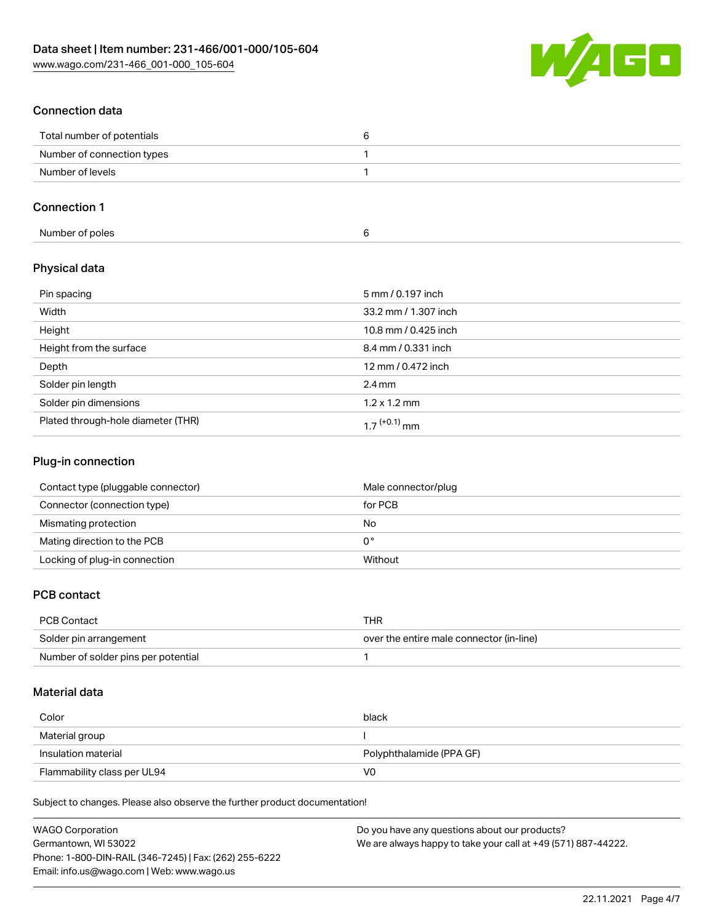

## Connection data

| Total number of potentials |  |
|----------------------------|--|
| Number of connection types |  |
| Number of levels           |  |

## Connection 1

| Number of poles |  |
|-----------------|--|
|-----------------|--|

### Physical data

| Pin spacing                        | 5 mm / 0.197 inch    |
|------------------------------------|----------------------|
| Width                              | 33.2 mm / 1.307 inch |
| Height                             | 10.8 mm / 0.425 inch |
| Height from the surface            | 8.4 mm / 0.331 inch  |
| Depth                              | 12 mm / 0.472 inch   |
| Solder pin length                  | $2.4 \,\mathrm{mm}$  |
| Solder pin dimensions              | $1.2 \times 1.2$ mm  |
| Plated through-hole diameter (THR) | 1 7 $(+0.1)$ mm      |

#### Plug-in connection

| Contact type (pluggable connector) | Male connector/plug |
|------------------------------------|---------------------|
| Connector (connection type)        | for PCB             |
| Mismating protection               | No                  |
| Mating direction to the PCB        | 0°                  |
| Locking of plug-in connection      | Without             |

#### PCB contact

| PCB Contact                         | THR                                      |
|-------------------------------------|------------------------------------------|
| Solder pin arrangement              | over the entire male connector (in-line) |
| Number of solder pins per potential |                                          |

#### Material data

| Color                       | black                    |
|-----------------------------|--------------------------|
| Material group              |                          |
| Insulation material         | Polyphthalamide (PPA GF) |
| Flammability class per UL94 | V0                       |

Subject to changes. Please also observe the further product documentation!

| <b>WAGO Corporation</b>                                | Do you have any questions about our products?                 |
|--------------------------------------------------------|---------------------------------------------------------------|
| Germantown, WI 53022                                   | We are always happy to take your call at +49 (571) 887-44222. |
| Phone: 1-800-DIN-RAIL (346-7245)   Fax: (262) 255-6222 |                                                               |
| Email: info.us@wago.com   Web: www.wago.us             |                                                               |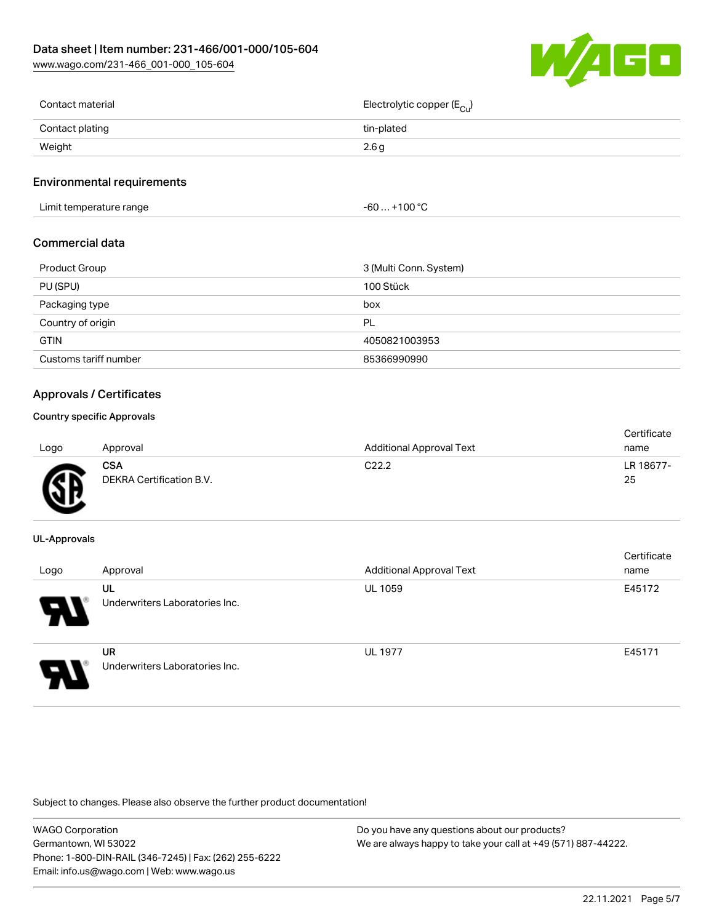[www.wago.com/231-466\\_001-000\\_105-604](http://www.wago.com/231-466_001-000_105-604)



| Contact material | Electrolytic copper (E <sub>Cu</sub> ) |
|------------------|----------------------------------------|
| Contact plating  | tin-plated                             |
| Weight           | 2.6 g                                  |
|                  |                                        |

#### Environmental requirements

Limit temperature range  $-60... +100 °C$ 

#### Commercial data

| Product Group         | 3 (Multi Conn. System) |
|-----------------------|------------------------|
| PU (SPU)              | 100 Stück              |
| Packaging type        | box                    |
| Country of origin     | PL                     |
| <b>GTIN</b>           | 4050821003953          |
| Customs tariff number | 85366990990            |

#### Approvals / Certificates

#### Country specific Approvals

| Logo | Approval                               | <b>Additional Approval Text</b> | Certificate<br>name |
|------|----------------------------------------|---------------------------------|---------------------|
| Æ    | <b>CSA</b><br>DEKRA Certification B.V. | C <sub>22.2</sub>               | LR 18677-<br>25     |

#### UL-Approvals

| Logo | Approval                                    | <b>Additional Approval Text</b> | Certificate<br>name |
|------|---------------------------------------------|---------------------------------|---------------------|
| 8    | UL<br>Underwriters Laboratories Inc.        | <b>UL 1059</b>                  | E45172              |
| o    | <b>UR</b><br>Underwriters Laboratories Inc. | <b>UL 1977</b>                  | E45171              |

Subject to changes. Please also observe the further product documentation!

| WAGO Corporation                                       | Do you have any questions about our products?                 |
|--------------------------------------------------------|---------------------------------------------------------------|
| Germantown, WI 53022                                   | We are always happy to take your call at +49 (571) 887-44222. |
| Phone: 1-800-DIN-RAIL (346-7245)   Fax: (262) 255-6222 |                                                               |
| Email: info.us@wago.com   Web: www.wago.us             |                                                               |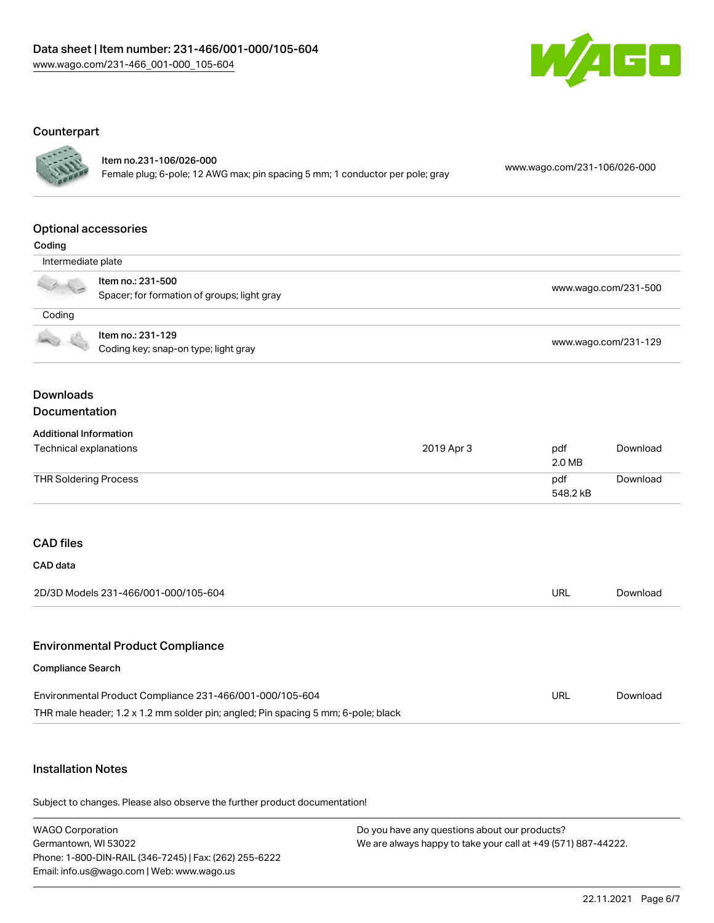

#### **Counterpart**



### Item no.231-106/026-000

Female plug; 6-pole; 12 AWG max; pin spacing 5 mm; 1 conductor per pole; gray [www.wago.com/231-106/026-000](https://www.wago.com/231-106/026-000)

#### Optional accessories

| ı |  |
|---|--|
|   |  |

| vvuug              |                                                                  |                      |
|--------------------|------------------------------------------------------------------|----------------------|
| Intermediate plate |                                                                  |                      |
|                    | Item no.: 231-500<br>Spacer; for formation of groups; light gray | www.wago.com/231-500 |
| Coding             |                                                                  |                      |
|                    | Item no.: 231-129<br>Coding key; snap-on type; light gray        | www.wago.com/231-129 |

#### Downloads Documentation

#### Additional Information

| Technical explanations | 2019 Apr 3 | pdf<br>2.0 MB   | Download |
|------------------------|------------|-----------------|----------|
| THR Soldering Process  |            | pdf<br>548.2 kB | Download |

### CAD files

| CAD data                             |     |          |
|--------------------------------------|-----|----------|
| 2D/3D Models 231-466/001-000/105-604 | URL | Download |
|                                      |     |          |

#### Environmental Product Compliance

#### Compliance Search

| Environmental Product Compliance 231-466/001-000/105-604                          | URL | Download |
|-----------------------------------------------------------------------------------|-----|----------|
| THR male header; 1.2 x 1.2 mm solder pin; angled; Pin spacing 5 mm; 6-pole; black |     |          |

### Installation Notes

Subject to changes. Please also observe the further product documentation!

WAGO Corporation Germantown, WI 53022 Phone: 1-800-DIN-RAIL (346-7245) | Fax: (262) 255-6222 Email: info.us@wago.com | Web: www.wago.us Do you have any questions about our products? We are always happy to take your call at +49 (571) 887-44222.